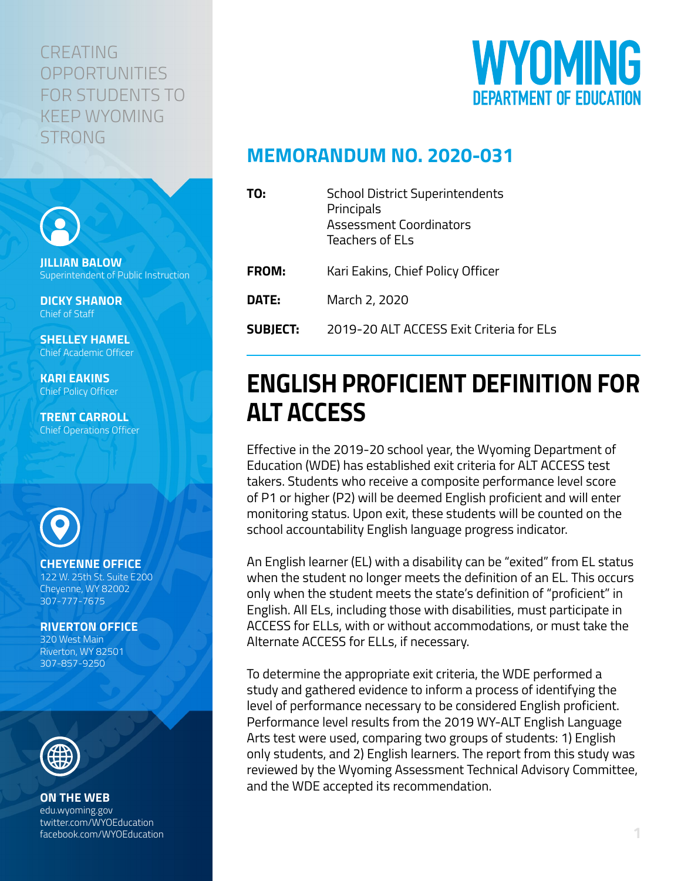### CREATING **OPPORTUNITIES** FOR STUDENTS TO KEEP WYOMING **STRONG**



## **MEMORANDUM NO. 2020-031**

| TO:             | <b>School District Superintendents</b><br>Principals<br><b>Assessment Coordinators</b><br>Teachers of ELs |
|-----------------|-----------------------------------------------------------------------------------------------------------|
| <b>FROM:</b>    | Kari Eakins, Chief Policy Officer                                                                         |
| DATE:           | March 2, 2020                                                                                             |
| <b>SUBJECT:</b> | 2019-20 ALT ACCESS Exit Criteria for ELs                                                                  |

# **ENGLISH PROFICIENT DEFINITION FOR ALT ACCESS**

Effective in the 2019-20 school year, the Wyoming Department of Education (WDE) has established exit criteria for ALT ACCESS test takers. Students who receive a composite performance level score of P1 or higher (P2) will be deemed English proficient and will enter monitoring status. Upon exit, these students will be counted on the school accountability English language progress indicator.

An English learner (EL) with a disability can be "exited" from EL status when the student no longer meets the definition of an EL. This occurs only when the student meets the state's definition of "proficient" in English. All ELs, including those with disabilities, must participate in ACCESS for ELLs, with or without accommodations, or must take the Alternate ACCESS for ELLs, if necessary.

To determine the appropriate exit criteria, the WDE performed a study and gathered evidence to inform a process of identifying the level of performance necessary to be considered English proficient. Performance level results from the 2019 WY-ALT English Language Arts test were used, comparing two groups of students: 1) English only students, and 2) English learners. The report from this study was reviewed by the Wyoming Assessment Technical Advisory Committee, and the WDE accepted its recommendation.



**JILLIAN BALOW** Superintendent of Public Instruction

**DICKY SHANOR** Chief of Staff

**SHELLEY HAMEL** Chief Academic Officer

**KARI EAKINS** Chief Policy Officer

**TRENT CARROLL** Chief Operations Officer



### **CHEYENNE OFFICE**

122 W. 25th St. Suite E200 Cheyenne, WY 82002 307-777-7675

**RIVERTON OFFICE**

320 West Main Riverton, WY 82501 307-857-9250



#### **ON THE WEB**

edu.wyoming.gov twitter.com/WYOEducation facebook.com/WYOEducation **1**